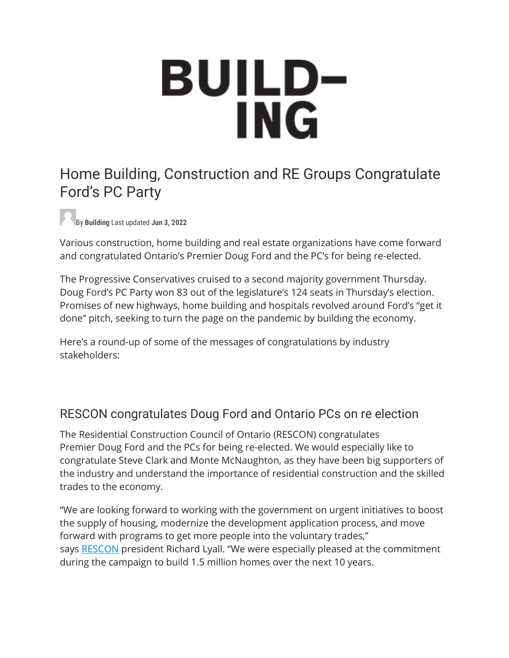# **BUILD-<br>ING**

# Home Building, Construction and RE Groups Congratulate Ford's PC Party

By **Building** Last updated **Jun 3, 2022**

Various construction, home building and real estate organizations have come forward and congratulated Ontario's Premier Doug Ford and the PC's for being re-elected.

The Progressive Conservatives cruised to a second majority government Thursday. Doug Ford's PC Party won 83 out of the legislature's 124 seats in Thursday's election. Promises of new highways, home building and hospitals revolved around Ford's "get it done" pitch, seeking to turn the page on the pandemic by building the economy.

Here's a round-up of some of the messages of congratulations by industry stakeholders:

## RESCON congratulates Doug Ford and Ontario PCs on re election

The Residential Construction Council of Ontario (RESCON) congratulates Premier Doug Ford and the PCs for being re-elected. We would especially like to congratulate Steve Clark and Monte McNaughton, as they have been big supporters of the industry and understand the importance of residential construction and the skilled trades to the economy.

"We are looking forward to working with the government on urgent initiatives to boost the supply of housing, modernize the development application process, and move forward with programs to get more people into the voluntary trades," says [RESCON](https://www.rescon.com/) president Richard Lyall. "We were especially pleased at the commitment during the campaign to build 1.5 million homes over the next 10 years.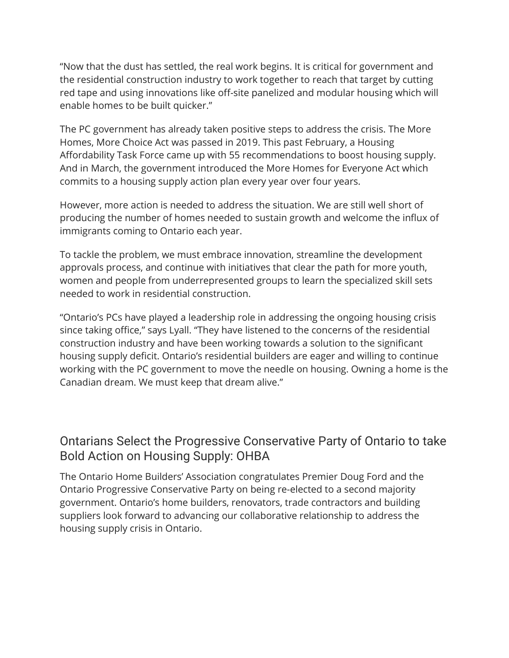"Now that the dust has settled, the real work begins. It is critical for government and the residential construction industry to work together to reach that target by cutting red tape and using innovations like off-site panelized and modular housing which will enable homes to be built quicker."

The PC government has already taken positive steps to address the crisis. The More Homes, More Choice Act was passed in 2019. This past February, a Housing Affordability Task Force came up with 55 recommendations to boost housing supply. And in March, the government introduced the More Homes for Everyone Act which commits to a housing supply action plan every year over four years.

However, more action is needed to address the situation. We are still well short of producing the number of homes needed to sustain growth and welcome the influx of immigrants coming to Ontario each year.

To tackle the problem, we must embrace innovation, streamline the development approvals process, and continue with initiatives that clear the path for more youth, women and people from underrepresented groups to learn the specialized skill sets needed to work in residential construction.

"Ontario's PCs have played a leadership role in addressing the ongoing housing crisis since taking office," says Lyall. "They have listened to the concerns of the residential construction industry and have been working towards a solution to the significant housing supply deficit. Ontario's residential builders are eager and willing to continue working with the PC government to move the needle on housing. Owning a home is the Canadian dream. We must keep that dream alive."

## Ontarians Select the Progressive Conservative Party of Ontario to take Bold Action on Housing Supply: OHBA

The Ontario Home Builders' Association congratulates Premier Doug Ford and the Ontario Progressive Conservative Party on being re-elected to a second majority government. Ontario's home builders, renovators, trade contractors and building suppliers look forward to advancing our collaborative relationship to address the housing supply crisis in Ontario.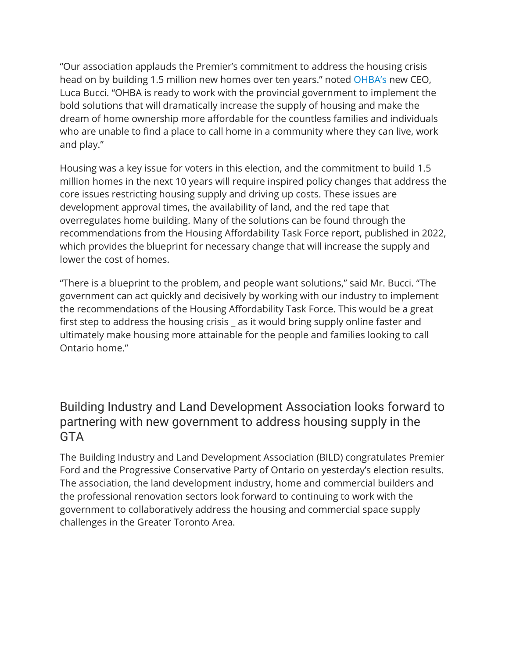"Our association applauds the Premier's commitment to address the housing crisis head on by building 1.5 million new homes over ten years." noted [OHBA's](https://www.ohba.ca/) new CEO, Luca Bucci. "OHBA is ready to work with the provincial government to implement the bold solutions that will dramatically increase the supply of housing and make the dream of home ownership more affordable for the countless families and individuals who are unable to find a place to call home in a community where they can live, work and play."

Housing was a key issue for voters in this election, and the commitment to build 1.5 million homes in the next 10 years will require inspired policy changes that address the core issues restricting housing supply and driving up costs. These issues are development approval times, the availability of land, and the red tape that overregulates home building. Many of the solutions can be found through the recommendations from the Housing Affordability Task Force report, published in 2022, which provides the blueprint for necessary change that will increase the supply and lower the cost of homes.

"There is a blueprint to the problem, and people want solutions," said Mr. Bucci. "The government can act quickly and decisively by working with our industry to implement the recommendations of the Housing Affordability Task Force. This would be a great first step to address the housing crisis \_ as it would bring supply online faster and ultimately make housing more attainable for the people and families looking to call Ontario home."

### Building Industry and Land Development Association looks forward to partnering with new government to address housing supply in the **GTA**

The Building Industry and Land Development Association (BILD) congratulates Premier Ford and the Progressive Conservative Party of Ontario on yesterday's election results. The association, the land development industry, home and commercial builders and the professional renovation sectors look forward to continuing to work with the government to collaboratively address the housing and commercial space supply challenges in the Greater Toronto Area.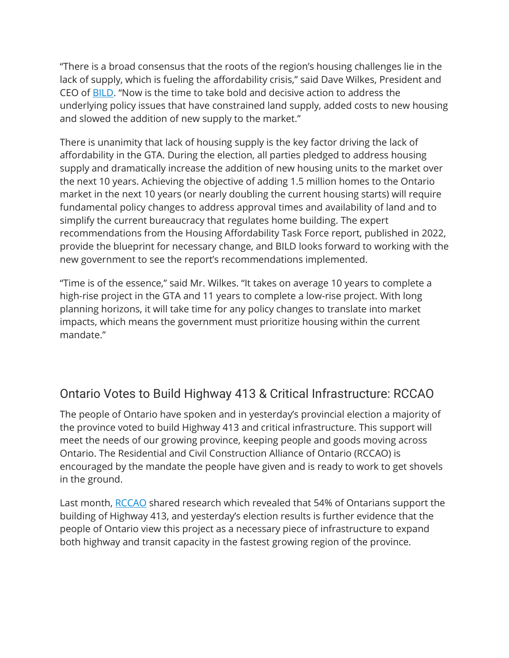"There is a broad consensus that the roots of the region's housing challenges lie in the lack of supply, which is fueling the affordability crisis," said Dave Wilkes, President and CEO of [BILD](https://bildgta.ca/). "Now is the time to take bold and decisive action to address the underlying policy issues that have constrained land supply, added costs to new housing and slowed the addition of new supply to the market."

There is unanimity that lack of housing supply is the key factor driving the lack of affordability in the GTA. During the election, all parties pledged to address housing supply and dramatically increase the addition of new housing units to the market over the next 10 years. Achieving the objective of adding 1.5 million homes to the Ontario market in the next 10 years (or nearly doubling the current housing starts) will require fundamental policy changes to address approval times and availability of land and to simplify the current bureaucracy that regulates home building. The expert recommendations from the Housing Affordability Task Force report, published in 2022, provide the blueprint for necessary change, and BILD looks forward to working with the new government to see the report's recommendations implemented.

"Time is of the essence," said Mr. Wilkes. "It takes on average 10 years to complete a high-rise project in the GTA and 11 years to complete a low-rise project. With long planning horizons, it will take time for any policy changes to translate into market impacts, which means the government must prioritize housing within the current mandate."

## Ontario Votes to Build Highway 413 & Critical Infrastructure: RCCAO

The people of Ontario have spoken and in yesterday's provincial election a majority of the province voted to build Highway 413 and critical infrastructure. This support will meet the needs of our growing province, keeping people and goods moving across Ontario. The Residential and Civil Construction Alliance of Ontario (RCCAO) is encouraged by the mandate the people have given and is ready to work to get shovels in the ground.

Last month, [RCCAO](https://rccao.com/) shared research which revealed that 54% of Ontarians support the building of Highway 413, and yesterday's election results is further evidence that the people of Ontario view this project as a necessary piece of infrastructure to expand both highway and transit capacity in the fastest growing region of the province.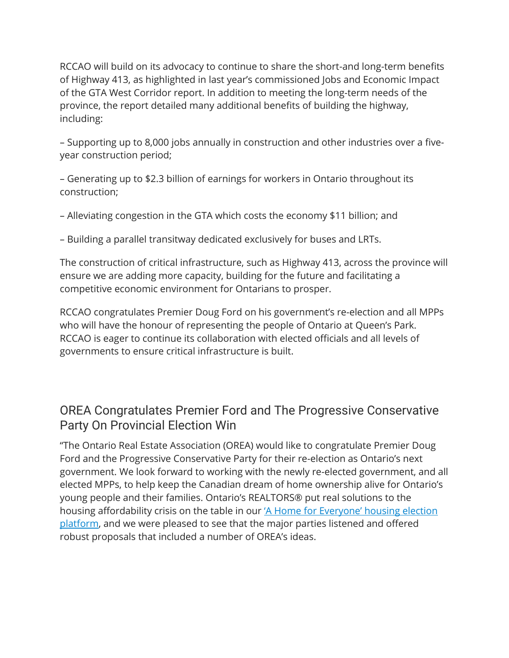RCCAO will build on its advocacy to continue to share the short-and long-term benefits of Highway 413, as highlighted in last year's commissioned Jobs and Economic Impact of the GTA West Corridor report. In addition to meeting the long-term needs of the province, the report detailed many additional benefits of building the highway, including:

– Supporting up to 8,000 jobs annually in construction and other industries over a fiveyear construction period;

– Generating up to \$2.3 billion of earnings for workers in Ontario throughout its construction;

– Alleviating congestion in the GTA which costs the economy \$11 billion; and

– Building a parallel transitway dedicated exclusively for buses and LRTs.

The construction of critical infrastructure, such as Highway 413, across the province will ensure we are adding more capacity, building for the future and facilitating a competitive economic environment for Ontarians to prosper.

RCCAO congratulates Premier Doug Ford on his government's re-election and all MPPs who will have the honour of representing the people of Ontario at Queen's Park. RCCAO is eager to continue its collaboration with elected officials and all levels of governments to ensure critical infrastructure is built.

## OREA Congratulates Premier Ford and The Progressive Conservative Party On Provincial Election Win

"The Ontario Real Estate Association (OREA) would like to congratulate Premier Doug Ford and the Progressive Conservative Party for their re-election as Ontario's next government. We look forward to working with the newly re-elected government, and all elected MPPs, to help keep the Canadian dream of home ownership alive for Ontario's young people and their families. Ontario's REALTORS® put real solutions to the housing affordability crisis on the table in our ['A Home for Everyone' housing election](https://building.ca/toronto-society-of-architects-launches-new-season-of-walking-tours/)  [platform,](https://building.ca/toronto-society-of-architects-launches-new-season-of-walking-tours/) and we were pleased to see that the major parties listened and offered robust proposals that included a number of OREA's ideas.